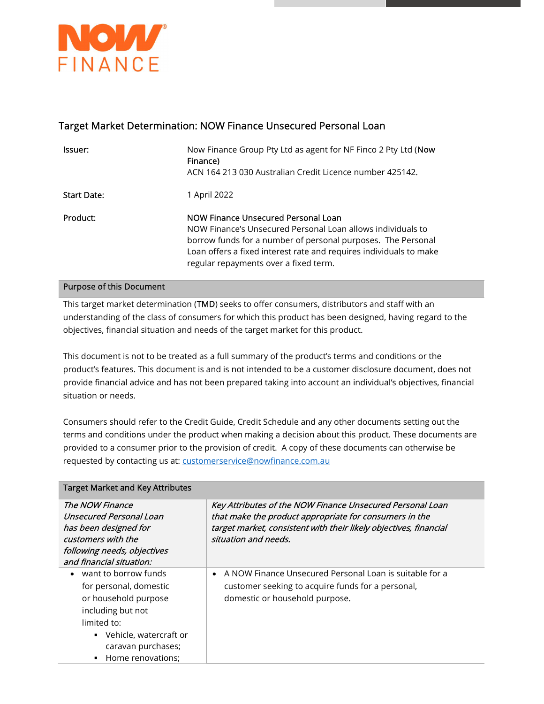

## Target Market Determination: NOW Finance Unsecured Personal Loan

| Issuer:            | Now Finance Group Pty Ltd as agent for NF Finco 2 Pty Ltd (Now<br>Finance)<br>ACN 164 213 030 Australian Credit Licence number 425142.                                                                                                                                            |
|--------------------|-----------------------------------------------------------------------------------------------------------------------------------------------------------------------------------------------------------------------------------------------------------------------------------|
| <b>Start Date:</b> | 1 April 2022                                                                                                                                                                                                                                                                      |
| Product:           | NOW Finance Unsecured Personal Loan<br>NOW Finance's Unsecured Personal Loan allows individuals to<br>borrow funds for a number of personal purposes. The Personal<br>Loan offers a fixed interest rate and requires individuals to make<br>regular repayments over a fixed term. |

## Purpose of this Document

This target market determination (TMD) seeks to offer consumers, distributors and staff with an understanding of the class of consumers for which this product has been designed, having regard to the objectives, financial situation and needs of the target market for this product.

This document is not to be treated as a full summary of the product's terms and conditions or the product's features. This document is and is not intended to be a customer disclosure document, does not provide financial advice and has not been prepared taking into account an individual's objectives, financial situation or needs.

Consumers should refer to the Credit Guide, Credit Schedule and any other documents setting out the terms and conditions under the product when making a decision about this product. These documents are provided to a consumer prior to the provision of credit. A copy of these documents can otherwise be requested by contacting us at: customerservice@nowfinance.com.au

| <b>Target Market and Key Attributes</b>                                                                                                                                             |                                                                                                                                                                                                                  |  |
|-------------------------------------------------------------------------------------------------------------------------------------------------------------------------------------|------------------------------------------------------------------------------------------------------------------------------------------------------------------------------------------------------------------|--|
| The NOW Finance<br>Unsecured Personal Loan<br>has been designed for<br>customers with the<br>following needs, objectives<br>and financial situation:                                | Key Attributes of the NOW Finance Unsecured Personal Loan<br>that make the product appropriate for consumers in the<br>target market, consistent with their likely objectives, financial<br>situation and needs. |  |
| want to borrow funds<br>for personal, domestic<br>or household purpose<br>including but not<br>limited to:<br>• Vehicle, watercraft or<br>caravan purchases;<br>• Home renovations; | A NOW Finance Unsecured Personal Loan is suitable for a<br>$\bullet$<br>customer seeking to acquire funds for a personal,<br>domestic or household purpose.                                                      |  |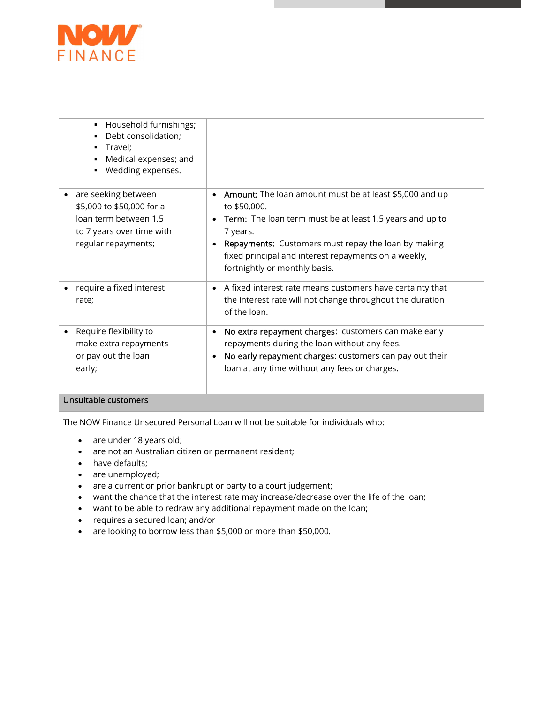

| Household furnishings;<br>٠<br>Debt consolidation;<br>Travel;<br>Medical expenses; and<br>Wedding expenses.                   |                                                                                                                                                                                                                                                                                                                                        |
|-------------------------------------------------------------------------------------------------------------------------------|----------------------------------------------------------------------------------------------------------------------------------------------------------------------------------------------------------------------------------------------------------------------------------------------------------------------------------------|
| are seeking between<br>\$5,000 to \$50,000 for a<br>loan term between 1.5<br>to 7 years over time with<br>regular repayments; | <b>Amount:</b> The loan amount must be at least \$5,000 and up<br>٠<br>to \$50,000.<br><b>Term:</b> The loan term must be at least 1.5 years and up to<br>$\bullet$<br>7 years.<br><b>Repayments:</b> Customers must repay the loan by making<br>fixed principal and interest repayments on a weekly,<br>fortnightly or monthly basis. |
| require a fixed interest<br>rate;                                                                                             | • A fixed interest rate means customers have certainty that<br>the interest rate will not change throughout the duration<br>of the loan.                                                                                                                                                                                               |
| Require flexibility to<br>make extra repayments<br>or pay out the loan<br>early;                                              | No extra repayment charges: customers can make early<br>٠<br>repayments during the loan without any fees.<br>No early repayment charges: customers can pay out their<br>٠<br>loan at any time without any fees or charges.                                                                                                             |

## Unsuitable customers

The NOW Finance Unsecured Personal Loan will not be suitable for individuals who:

- are under 18 years old;
- are not an Australian citizen or permanent resident;
- have defaults;
- are unemployed;
- are a current or prior bankrupt or party to a court judgement;
- want the chance that the interest rate may increase/decrease over the life of the loan;
- want to be able to redraw any additional repayment made on the loan;
- requires a secured loan; and/or
- are looking to borrow less than \$5,000 or more than \$50,000.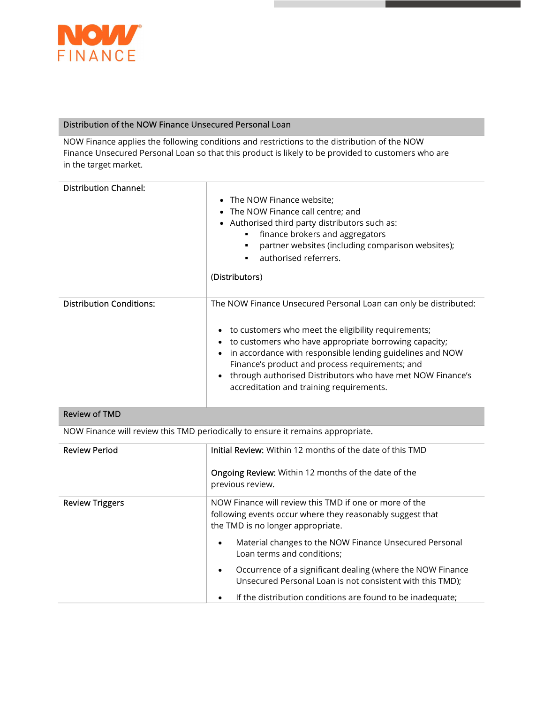

## Distribution of the NOW Finance Unsecured Personal Loan

NOW Finance applies the following conditions and restrictions to the distribution of the NOW Finance Unsecured Personal Loan so that this product is likely to be provided to customers who are in the target market.

| <b>Distribution Channel:</b>                                                    | The NOW Finance website;<br>$\bullet$<br>The NOW Finance call centre; and<br>Authorised third party distributors such as:<br>$\bullet$<br>finance brokers and aggregators<br>partner websites (including comparison websites);<br>authorised referrers.<br>$\blacksquare$<br>(Distributors)                                                                                                                |
|---------------------------------------------------------------------------------|------------------------------------------------------------------------------------------------------------------------------------------------------------------------------------------------------------------------------------------------------------------------------------------------------------------------------------------------------------------------------------------------------------|
| <b>Distribution Conditions:</b>                                                 | The NOW Finance Unsecured Personal Loan can only be distributed:<br>to customers who meet the eligibility requirements;<br>to customers who have appropriate borrowing capacity;<br>in accordance with responsible lending guidelines and NOW<br>Finance's product and process requirements; and<br>through authorised Distributors who have met NOW Finance's<br>accreditation and training requirements. |
| <b>Review of TMD</b>                                                            |                                                                                                                                                                                                                                                                                                                                                                                                            |
| NOW Finance will review this TMD periodically to ensure it remains appropriate. |                                                                                                                                                                                                                                                                                                                                                                                                            |
| <b>Review Period</b>                                                            | <b>Initial Review:</b> Within 12 months of the date of this TMD<br><b>Ongoing Review:</b> Within 12 months of the date of the<br>previous review.                                                                                                                                                                                                                                                          |
| <b>Review Triggers</b>                                                          | NOW Finance will review this TMD if one or more of the                                                                                                                                                                                                                                                                                                                                                     |

| following events occur where they reasonably suggest that<br>the TMD is no longer appropriate. |  |
|------------------------------------------------------------------------------------------------|--|
|                                                                                                |  |

- Material changes to the NOW Finance Unsecured Personal Loan terms and conditions;
- Occurrence of a significant dealing (where the NOW Finance Unsecured Personal Loan is not consistent with this TMD);
- If the distribution conditions are found to be inadequate;